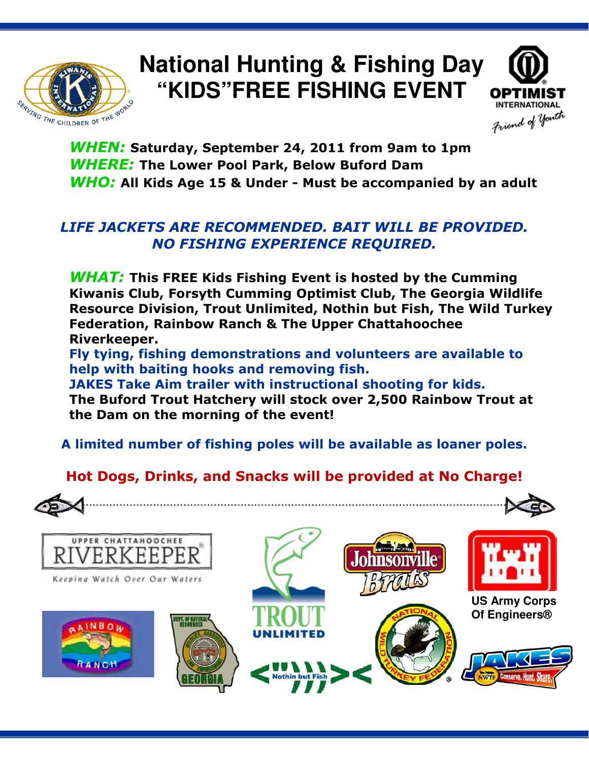

## **National Hunting & Fishing Day "KIDS"FREE FISHING EVENT**



WHEN: Saturday, September 24, 2011 from 9am to 1pm WHERE: The Lower Pool Park, Below Buford Dam WHO: All Kids Age 15 & Under - Must be accompanied by an adult

#### LIFE JACKETS ARE RECOMMENDED. BAIT WILL BE PROVIDED. NO FISHING EXPERIENCE REQUIRED.

**WHAT:** This FREE Kids Fishing Event is hosted by the Cumming Kiwanis Club, Forsyth Cumming Optimist Club, The Georgia Wildlife Resource Division, Trout Unlimited, Nothin but Fish, The Wild Turkey Federation, Rainbow Ranch & The Upper Chattahoochee Riverkeeper.

Fly tying, fishing demonstrations and volunteers are available to help with baiting hooks and removing fish.

JAKES Take Aim trailer with instructional shooting for kids. The Buford Trout Hatchery will stock over 2,500 Rainbow Trout at the Dam on the morning of the event!

A limited number of fishing poles will be available as loaner poles.

### Hot Dogs, Drinks, and Snacks will be provided at No Charge!